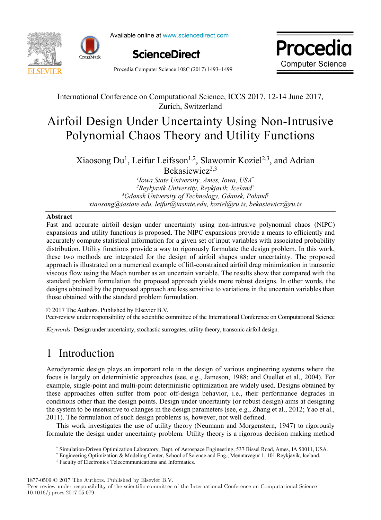

Available online at www.sciencedirect.com





Procedia Computer Science 108C (2017) 1493–1499

### International Conference on Computational Science, ICCS 2017, 12-14 June 2017, Zurich, Switzerland Airford Uncertainty Uncertainty Uncertainty Using Non-International Property Using Non-International Property Of the United States of the United States of the United States of the United States of the United States of the

### Airfoil Design Under Uncertainty Using Non-Intrusive Polynomial Chaos Theory and Utility Functions Airfoil Design Under Uncertainty Using Non-Intrusive Polynomial Chaos Theory and Utility Functions

Xiaosong Du<sup>1</sup>, Leifur Leifsson<sup>1,2</sup>, Slawomir Koziel<sup>2,3</sup>, and Adrian Bekasiewicz<sup>2,3</sup>

<sup>1</sup>Iowa State University, Ames, Iowa, USA<sup>\*</sup> <sup>2</sup>Reykjavik University, Reykjavik, Iceland<sup>†</sup> <sup>3</sup>Gdansk University of Technology, Gdansk, Poland‡ *2 Reykjavik University, Reykjavik, Iceland*† *xiaosong@iastate.edu, leifur@iastate.edu, koziel@ru.is, bekasiewicz@ru.is 3 Gdansk University of Technology, Gdansk, Poland*‡

*Gdansk University of Technology, Gdansk, Poland*‡

#### **Abstract**

Fast and accurate airfoil design under uncertainty using non-intrusive polynomial chaos (NIPC) expansions and utility functions is proposed. The NIPC expansions provide a means to efficiently and  $\frac{1}{\sqrt{2}}$ accurately compute statistical information for a given set of input variables with associated probability distribution. Utility functions provide a way to rigorously formulate the design problem. In this work, distribution. Utility functions provide a way to rigorously formulate the design problem. In this work, these two methods are integrated for the design of airfoil shapes under uncertainty. The proposed approach is illustrated on a numerical example of lift-constrained airfoil drag minimization in transonic approach is inustrated on a numerical example of the constrained arrion drag minimization in transonic<br>viscous flow using the Mach number as an uncertain variable. The results show that compared with the standard problem formulation the proposed approach yields more robust designs. In other words, the standard problem formulation the proposed approach yields more robust designs. In other words, the designs obtained by the proposed approach are less sensitive to variations in the uncertain variables than those obtained with the standard problem formulation.

those obtained with the standard problem formulation.<br>© 2017 The Authors. Published by Elsevier B.V. Peer-review under responsibility of the scientific committee of the International Conference on Computational Science *Keywords:* Design under uncertainty, stochastic surrogates, utility theory, transonic airfoil design.

*Keywords:* Design under uncertainty, stochastic surrogates, utility theory, transonic airfoil design.

## 1 Introduction  $f_{\rm max}$  is largely on deterministic approaches (see, e.g.,  $\frac{1}{2}$

Aerodynamic design plays an important role in the design of various engineering systems where the focus is largely on deterministic approaches (see, e.g., Jameson, 1988; and Ouellet et al., 2004). For example, single-point and multi-point deterministic optimization are widely used. Designs obtained by these approaches often suffer from poor off-design behavior, i.e., their performance degrades in conditions other than the design points. Design under uncertainty (or robust design) aims at designing conditions other than the design points. Design under uncertainty (or robust design) aims at designing<br>the system to be insensitive to changes in the design parameters (see, e.g., Zhang et al., 2012; Yao et al.,  $2011$ ). The formulation of such design problems is, however, not well defined.

This work investigates the use of utility theory (Neumann and Morgenstern, 1947) to rigorously<br>formulate the design under uncertainty problem. Hitlity theory is a rigorous decision making method formulate the design under uncertainty problem. Utility theory is a rigorous decision making method

*3*

1877-0509 © 2017 The Authors. Published by Elsevier B.V.

Peer-review under responsibility of the scientific committee of the International Conference on Computational Science 10.1016/j.procs.2017.05.079

<sup>\*</sup> Simulation-Driven Optimization Laboratory, Dept. of Aerospace Engineering, 537 Bissel Road, Ames, IA 50011, USA.

*<sup>†</sup>* Engineering Optimization & Modeling Center, School of Science and Eng., Menntavegur 1, 101 Reykjavik, Iceland.

<sup>‡</sup> Faculty of Electronics Telecommunications and Informatics.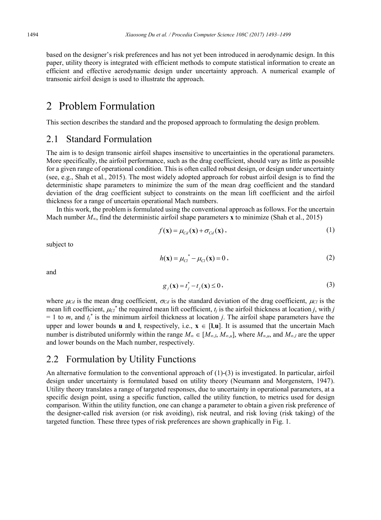based on the designer's risk preferences and has not yet been introduced in aerodynamic design. In this paper, utility theory is integrated with efficient methods to compute statistical information to create an efficient and effective aerodynamic design under uncertainty approach. A numerical example of transonic airfoil design is used to illustrate the approach.

### 2 Problem Formulation

This section describes the standard and the proposed approach to formulating the design problem.

### 2.1 Standard Formulation

The aim is to design transonic airfoil shapes insensitive to uncertainties in the operational parameters. More specifically, the airfoil performance, such as the drag coefficient, should vary as little as possible for a given range of operational condition. This is often called robust design, or design under uncertainty (see, e.g., Shah et al., 2015). The most widely adopted approach for robust airfoil design is to find the deterministic shape parameters to minimize the sum of the mean drag coefficient and the standard deviation of the drag coefficient subject to constraints on the mean lift coefficient and the airfoil thickness for a range of uncertain operational Mach numbers.

In this work, the problem is formulated using the conventional approach as follows. For the uncertain Mach number  $M_{\infty}$ , find the deterministic airfoil shape parameters **x** to minimize (Shah et al., 2015)

$$
f(\mathbf{x}) = \mu_{Cd}(\mathbf{x}) + \sigma_{Cd}(\mathbf{x}), \qquad (1)
$$

subject to

$$
h(\mathbf{x}) = \mu_{Cl}^* - \mu_{Cl}(\mathbf{x}) = 0, \qquad (2)
$$

and

$$
g_j(\mathbf{x}) = t_j^* - t_j(\mathbf{x}) \le 0,
$$
\n(3)

where  $\mu_{Cd}$  is the mean drag coefficient,  $\sigma_{Cd}$  is the standard deviation of the drag coefficient,  $\mu_{Cd}$  is the mean lift coefficient,  $\mu_{Cl}^*$  the required mean lift coefficient,  $t_j$  is the airfoil thickness at location *j*, with *j*  $= 1$  to *m*, and  $t_j^*$  is the minimum airfoil thickness at location *j*. The airfoil shape parameters have the upper and lower bounds **u** and **l**, respectively, i.e.,  $\mathbf{x} \in [\mathbf{l}, \mathbf{u}]$ . It is assumed that the uncertain Mach number is distributed uniformly within the range  $M_{\infty} \in [M_{\infty,L}, M_{\infty,L}]$ , where  $M_{\infty,L}$  and  $M_{\infty,L}$  are the upper and lower bounds on the Mach number, respectively.

### 2.2 Formulation by Utility Functions

An alternative formulation to the conventional approach of (1)-(3) is investigated. In particular, airfoil design under uncertainty is formulated based on utility theory (Neumann and Morgenstern, 1947). Utility theory translates a range of targeted responses, due to uncertainty in operational parameters, at a specific design point, using a specific function, called the utility function, to metrics used for design comparison. Within the utility function, one can change a parameter to obtain a given risk preference of the designer-called risk aversion (or risk avoiding), risk neutral, and risk loving (risk taking) of the targeted function. These three types of risk preferences are shown graphically in Fig. 1.